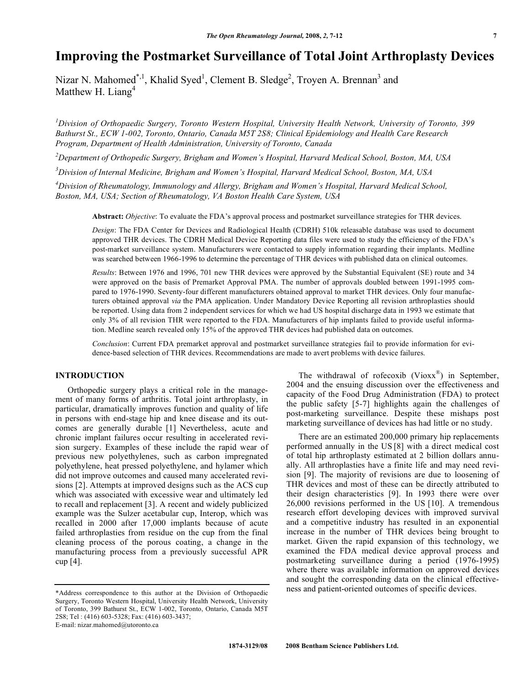# **Improving the Postmarket Surveillance of Total Joint Arthroplasty Devices**

Nizar N. Mahomed<sup>\*,1</sup>, Khalid Syed<sup>1</sup>, Clement B. Sledge<sup>2</sup>, Troyen A. Brennan<sup>3</sup> and Matthew H. Liang<sup>4</sup>

*1 Division of Orthopaedic Surgery, Toronto Western Hospital, University Health Network, University of Toronto, 399 Bathurst St., ECW 1-002, Toronto, Ontario, Canada M5T 2S8; Clinical Epidemiology and Health Care Research Program, Department of Health Administration, University of Toronto, Canada* 

*2 Department of Orthopedic Surgery, Brigham and Women's Hospital, Harvard Medical School, Boston, MA, USA* 

*3 Division of Internal Medicine, Brigham and Women's Hospital, Harvard Medical School, Boston, MA, USA* 

*4 Division of Rheumatology, Immunology and Allergy, Brigham and Women's Hospital, Harvard Medical School, Boston, MA, USA; Section of Rheumatology, VA Boston Health Care System, USA* 

**Abstract:** *Objective*: To evaluate the FDA's approval process and postmarket surveillance strategies for THR devices.

*Design*: The FDA Center for Devices and Radiological Health (CDRH) 510k releasable database was used to document approved THR devices. The CDRH Medical Device Reporting data files were used to study the efficiency of the FDA's post-market surveillance system. Manufacturers were contacted to supply information regarding their implants. Medline was searched between 1966-1996 to determine the percentage of THR devices with published data on clinical outcomes.

*Results*: Between 1976 and 1996, 701 new THR devices were approved by the Substantial Equivalent (SE) route and 34 were approved on the basis of Premarket Approval PMA. The number of approvals doubled between 1991-1995 compared to 1976-1990. Seventy-four different manufacturers obtained approval to market THR devices. Only four manufacturers obtained approval *via* the PMA application. Under Mandatory Device Reporting all revision arthroplasties should be reported. Using data from 2 independent services for which we had US hospital discharge data in 1993 we estimate that only 3% of all revision THR were reported to the FDA. Manufacturers of hip implants failed to provide useful information. Medline search revealed only 15% of the approved THR devices had published data on outcomes.

*Conclusion*: Current FDA premarket approval and postmarket surveillance strategies fail to provide information for evidence-based selection of THR devices. Recommendations are made to avert problems with device failures.

# **INTRODUCTION**

 Orthopedic surgery plays a critical role in the management of many forms of arthritis. Total joint arthroplasty, in particular, dramatically improves function and quality of life in persons with end-stage hip and knee disease and its outcomes are generally durable [1] Nevertheless, acute and chronic implant failures occur resulting in accelerated revision surgery. Examples of these include the rapid wear of previous new polyethylenes, such as carbon impregnated polyethylene, heat pressed polyethylene, and hylamer which did not improve outcomes and caused many accelerated revisions [2]. Attempts at improved designs such as the ACS cup which was associated with excessive wear and ultimately led to recall and replacement [3]. A recent and widely publicized example was the Sulzer acetabular cup, Interop, which was recalled in 2000 after 17,000 implants because of acute failed arthroplasties from residue on the cup from the final cleaning process of the porous coating, a change in the manufacturing process from a previously successful APR cup [4].

The withdrawal of rofecoxib ( $Vioxx^{\otimes}$ ) in September, 2004 and the ensuing discussion over the effectiveness and capacity of the Food Drug Administration (FDA) to protect the public safety [5-7] highlights again the challenges of post-marketing surveillance. Despite these mishaps post marketing surveillance of devices has had little or no study.

 There are an estimated 200,000 primary hip replacements performed annually in the US [8] with a direct medical cost of total hip arthroplasty estimated at 2 billion dollars annually. All arthroplasties have a finite life and may need revision [9]. The majority of revisions are due to loosening of THR devices and most of these can be directly attributed to their design characteristics [9]. In 1993 there were over 26,000 revisions performed in the US [10]. A tremendous research effort developing devices with improved survival and a competitive industry has resulted in an exponential increase in the number of THR devices being brought to market. Given the rapid expansion of this technology, we examined the FDA medical device approval process and postmarketing surveillance during a period (1976-1995) where there was available information on approved devices and sought the corresponding data on the clinical effectiveness and patient-oriented outcomes of specific devices.

<sup>\*</sup>Address correspondence to this author at the Division of Orthopaedic Surgery, Toronto Western Hospital, University Health Network, University of Toronto, 399 Bathurst St., ECW 1-002, Toronto, Ontario, Canada M5T 2S8; Tel : (416) 603-5328; Fax: (416) 603-3437; E-mail: nizar.mahomed@utoronto.ca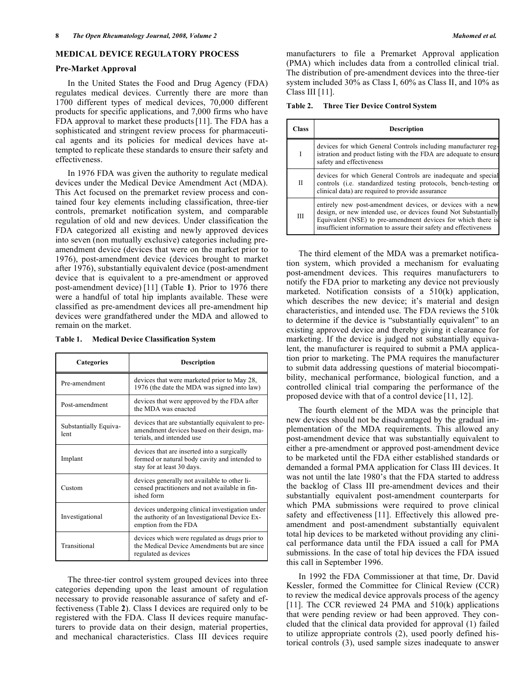#### **MEDICAL DEVICE REGULATORY PROCESS**

#### **Pre-Market Approval**

 In the United States the Food and Drug Agency (FDA) regulates medical devices. Currently there are more than 1700 different types of medical devices, 70,000 different products for specific applications, and 7,000 firms who have FDA approval to market these products[11]. The FDA has a sophisticated and stringent review process for pharmaceutical agents and its policies for medical devices have attempted to replicate these standards to ensure their safety and effectiveness.

 In 1976 FDA was given the authority to regulate medical devices under the Medical Device Amendment Act (MDA). This Act focused on the premarket review process and contained four key elements including classification, three-tier controls, premarket notification system, and comparable regulation of old and new devices. Under classification the FDA categorized all existing and newly approved devices into seven (non mutually exclusive) categories including preamendment device (devices that were on the market prior to 1976), post-amendment device (devices brought to market after 1976), substantially equivalent device (post-amendment device that is equivalent to a pre-amendment or approved post-amendment device) [11] (Table **1**). Prior to 1976 there were a handful of total hip implants available. These were classified as pre-amendment devices all pre-amendment hip devices were grandfathered under the MDA and allowed to remain on the market.

| Table 1. |  | <b>Medical Device Classification System</b> |  |
|----------|--|---------------------------------------------|--|
|          |  |                                             |  |

| <b>Categories</b>             | <b>Description</b>                                                                                                             |  |  |
|-------------------------------|--------------------------------------------------------------------------------------------------------------------------------|--|--|
| Pre-amendment                 | devices that were marketed prior to May 28,<br>1976 (the date the MDA was signed into law)                                     |  |  |
| Post-amendment                | devices that were approved by the FDA after<br>the MDA was enacted                                                             |  |  |
| Substantially Equiva-<br>lent | devices that are substantially equivalent to pre-<br>amendment devices based on their design, ma-<br>terials, and intended use |  |  |
| Implant                       | devices that are inserted into a surgically<br>formed or natural body cavity and intended to<br>stay for at least 30 days.     |  |  |
| Custom                        | devices generally not available to other li-<br>censed practitioners and not available in fin-<br>ished form                   |  |  |
| Investigational               | devices undergoing clinical investigation under<br>the authority of an Investigational Device Ex-<br>emption from the FDA      |  |  |
| Transitional                  | devices which were regulated as drugs prior to<br>the Medical Device Amendments but are since<br>regulated as devices          |  |  |

 The three-tier control system grouped devices into three categories depending upon the least amount of regulation necessary to provide reasonable assurance of safety and effectiveness (Table **2**). Class I devices are required only to be registered with the FDA. Class II devices require manufacturers to provide data on their design, material properties, and mechanical characteristics. Class III devices require manufacturers to file a Premarket Approval application (PMA) which includes data from a controlled clinical trial. The distribution of pre-amendment devices into the three-tier system included 30% as Class I, 60% as Class II, and 10% as Class III [11].

| <b>Three Tier Device Control System</b> | Table 2. |  |  |  |  |
|-----------------------------------------|----------|--|--|--|--|
|-----------------------------------------|----------|--|--|--|--|

| Class        | <b>Description</b>                                                                                                                                                                                                                                                 |
|--------------|--------------------------------------------------------------------------------------------------------------------------------------------------------------------------------------------------------------------------------------------------------------------|
| I            | devices for which General Controls including manufacturer reg-<br>istration and product listing with the FDA are adequate to ensure<br>safety and effectiveness                                                                                                    |
| $\mathbf{I}$ | devices for which General Controls are inadequate and special<br>controls (i.e. standardized testing protocols, bench-testing or<br>clinical data) are required to provide assurance                                                                               |
| IΙI          | entirely new post-amendment devices, or devices with a new<br>design, or new intended use, or devices found Not Substantially<br>Equivalent (NSE) to pre-amendment devices for which there is<br>insufficient information to assure their safety and effectiveness |

 The third element of the MDA was a premarket notification system, which provided a mechanism for evaluating post-amendment devices. This requires manufacturers to notify the FDA prior to marketing any device not previously marketed. Notification consists of a 510(k) application, which describes the new device; it's material and design characteristics, and intended use. The FDA reviews the 510k to determine if the device is "substantially equivalent" to an existing approved device and thereby giving it clearance for marketing. If the device is judged not substantially equivalent, the manufacturer is required to submit a PMA application prior to marketing. The PMA requires the manufacturer to submit data addressing questions of material biocompatibility, mechanical performance, biological function, and a controlled clinical trial comparing the performance of the proposed device with that of a control device [11, 12].

 The fourth element of the MDA was the principle that new devices should not be disadvantaged by the gradual implementation of the MDA requirements. This allowed any post-amendment device that was substantially equivalent to either a pre-amendment or approved post-amendment device to be marketed until the FDA either established standards or demanded a formal PMA application for Class III devices. It was not until the late 1980's that the FDA started to address the backlog of Class III pre-amendment devices and their substantially equivalent post-amendment counterparts for which PMA submissions were required to prove clinical safety and effectiveness [11]. Effectively this allowed preamendment and post-amendment substantially equivalent total hip devices to be marketed without providing any clinical performance data until the FDA issued a call for PMA submissions. In the case of total hip devices the FDA issued this call in September 1996.

 In 1992 the FDA Commissioner at that time, Dr. David Kessler, formed the Committee for Clinical Review (CCR) to review the medical device approvals process of the agency [11]. The CCR reviewed 24 PMA and 510(k) applications that were pending review or had been approved. They concluded that the clinical data provided for approval (1) failed to utilize appropriate controls (2), used poorly defined historical controls (3), used sample sizes inadequate to answer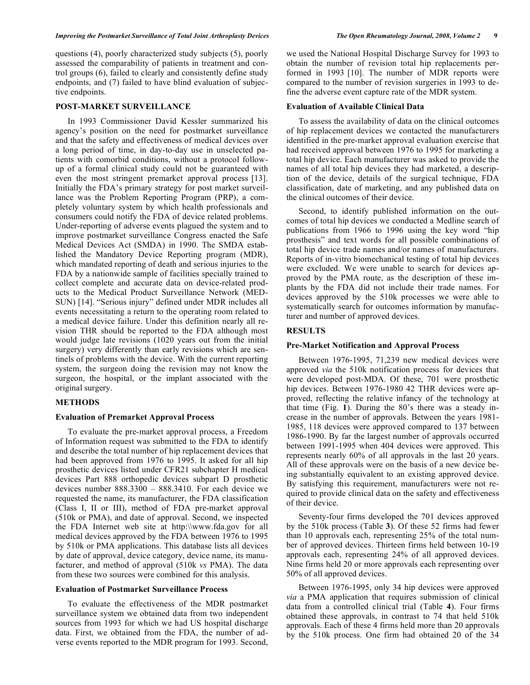questions (4), poorly characterized study subjects (5), poorly assessed the comparability of patients in treatment and control groups (6), failed to clearly and consistently define study endpoints, and (7) failed to have blind evaluation of subjective endpoints.

# **POST-MARKET SURVEILLANCE**

 In 1993 Commissioner David Kessler summarized his agency's position on the need for postmarket surveillance and that the safety and effectiveness of medical devices over a long period of time, in day-to-day use in unselected patients with comorbid conditions, without a protocol followup of a formal clinical study could not be guaranteed with even the most stringent premarket approval process [13]. Initially the FDA's primary strategy for post market surveillance was the Problem Reporting Program (PRP), a completely voluntary system by which health professionals and consumers could notify the FDA of device related problems. Under-reporting of adverse events plagued the system and to improve postmarket surveillance Congress enacted the Safe Medical Devices Act (SMDA) in 1990. The SMDA established the Mandatory Device Reporting program (MDR), which mandated reporting of death and serious injuries to the FDA by a nationwide sample of facilities specially trained to collect complete and accurate data on device-related products to the Medical Product Surveillance Network (MED-SUN) [14]. "Serious injury" defined under MDR includes all events necessitating a return to the operating room related to a medical device failure. Under this definition nearly all revision THR should be reported to the FDA although most would judge late revisions (1020 years out from the initial surgery) very differently than early revisions which are sentinels of problems with the device. With the current reporting system, the surgeon doing the revision may not know the surgeon, the hospital, or the implant associated with the original surgery.

# **METHODS**

#### **Evaluation of Premarket Approval Process**

 To evaluate the pre-market approval process, a Freedom of Information request was submitted to the FDA to identify and describe the total number of hip replacement devices that had been approved from 1976 to 1995. It asked for all hip prosthetic devices listed under CFR21 subchapter H medical devices Part 888 orthopedic devices subpart D prosthetic devices number 888.3300 – 888.3410. For each device we requested the name, its manufacturer, the FDA classification (Class I, II or III), method of FDA pre-market approval (510k or PMA), and date of approval. Second, we inspected the FDA Internet web site at http:\\www.fda.gov for all medical devices approved by the FDA between 1976 to 1995 by 510k or PMA applications. This database lists all devices by date of approval, device category, device name, its manufacturer, and method of approval (510k *vs* PMA). The data from these two sources were combined for this analysis.

#### **Evaluation of Postmarket Surveillance Process**

 To evaluate the effectiveness of the MDR postmarket surveillance system we obtained data from two independent sources from 1993 for which we had US hospital discharge data. First, we obtained from the FDA, the number of adverse events reported to the MDR program for 1993. Second,

we used the National Hospital Discharge Survey for 1993 to obtain the number of revision total hip replacements performed in 1993 [10]. The number of MDR reports were compared to the number of revision surgeries in 1993 to define the adverse event capture rate of the MDR system.

#### **Evaluation of Available Clinical Data**

 To assess the availability of data on the clinical outcomes of hip replacement devices we contacted the manufacturers identified in the pre-market approval evaluation exercise that had received approval between 1976 to 1995 for marketing a total hip device. Each manufacturer was asked to provide the names of all total hip devices they had marketed, a description of the device, details of the surgical technique, FDA classification, date of marketing, and any published data on the clinical outcomes of their device.

 Second, to identify published information on the outcomes of total hip devices we conducted a Medline search of publications from 1966 to 1996 using the key word "hip prosthesis" and text words for all possible combinations of total hip device trade names and/or names of manufacturers. Reports of in-vitro biomechanical testing of total hip devices were excluded. We were unable to search for devices approved by the PMA route, as the description of these implants by the FDA did not include their trade names. For devices approved by the 510k processes we were able to systematically search for outcomes information by manufacturer and number of approved devices.

#### **RESULTS**

#### **Pre-Market Notification and Approval Process**

 Between 1976-1995, 71,239 new medical devices were approved *via* the 510k notification process for devices that were developed post-MDA. Of these, 701 were prosthetic hip devices. Between 1976-1980 42 THR devices were approved, reflecting the relative infancy of the technology at that time (Fig. **1**). During the 80's there was a steady increase in the number of approvals. Between the years 1981- 1985, 118 devices were approved compared to 137 between 1986-1990. By far the largest number of approvals occurred between 1991-1995 when 404 devices were approved. This represents nearly 60% of all approvals in the last 20 years. All of these approvals were on the basis of a new device being substantially equivalent to an existing approved device. By satisfying this requirement, manufacturers were not required to provide clinical data on the safety and effectiveness of their device.

 Seventy-four firms developed the 701 devices approved by the 510k process (Table **3**). Of these 52 firms had fewer than 10 approvals each, representing 25% of the total number of approved devices. Thirteen firms held between 10-19 approvals each, representing 24% of all approved devices. Nine firms held 20 or more approvals each representing over 50% of all approved devices.

 Between 1976-1995, only 34 hip devices were approved *via* a PMA application that requires submission of clinical data from a controlled clinical trial (Table **4**). Four firms obtained these approvals, in contrast to 74 that held 510k approvals. Each of these 4 firms held more than 20 approvals by the 510k process. One firm had obtained 20 of the 34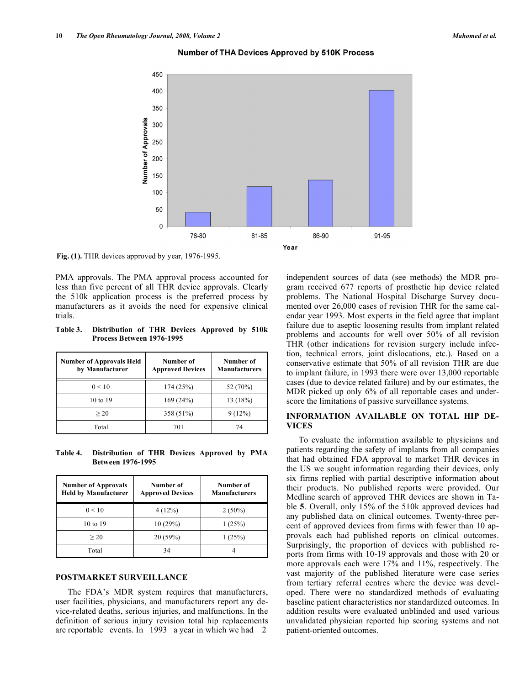

#### **Number of THA Devices Approved by 510K Process**

**Fig. (1).** THR devices approved by year, 1976-1995.

PMA approvals. The PMA approval process accounted for less than five percent of all THR device approvals. Clearly the 510k application process is the preferred process by manufacturers as it avoids the need for expensive clinical trials.

**Table 3. Distribution of THR Devices Approved by 510k Process Between 1976-1995** 

| <b>Number of Approvals Held</b><br>by Manufacturer | Number of<br><b>Approved Devices</b> | Number of<br><b>Manufacturers</b> |
|----------------------------------------------------|--------------------------------------|-----------------------------------|
| 0 < 10                                             | 174(25%)                             | 52 (70%)                          |
| 10 to 19                                           | 169(24%)                             | 13(18%)                           |
| >20                                                | 358 (51%)                            | 9(12%)                            |
| Total                                              | 701                                  | 74                                |

**Table 4. Distribution of THR Devices Approved by PMA Between 1976-1995** 

| <b>Number of Approvals</b><br><b>Held by Manufacturer</b> | Number of<br><b>Approved Devices</b> | Number of<br><b>Manufacturers</b> |  |
|-----------------------------------------------------------|--------------------------------------|-----------------------------------|--|
| 0 < 10                                                    | 4(12%)                               | $2(50\%)$                         |  |
| 10 to 19                                                  | 10(29%)                              | 1(25%)                            |  |
| >20                                                       | 20(59%)                              | 1(25%)                            |  |
| Total                                                     | 34                                   |                                   |  |

## **POSTMARKET SURVEILLANCE**

 The FDA's MDR system requires that manufacturers, user facilities, physicians, and manufacturers report any device-related deaths, serious injuries, and malfunctions. In the definition of serious injury revision total hip replacements are reportable events. In 1993 a year in which we had 2

independent sources of data (see methods) the MDR program received 677 reports of prosthetic hip device related problems. The National Hospital Discharge Survey documented over 26,000 cases of revision THR for the same calendar year 1993. Most experts in the field agree that implant failure due to aseptic loosening results from implant related problems and accounts for well over 50% of all revision THR (other indications for revision surgery include infection, technical errors, joint dislocations, etc.). Based on a conservative estimate that 50% of all revision THR are due to implant failure, in 1993 there were over 13,000 reportable cases (due to device related failure) and by our estimates, the MDR picked up only 6% of all reportable cases and underscore the limitations of passive surveillance systems.

## **INFORMATION AVAILABLE ON TOTAL HIP DE-VICES**

 To evaluate the information available to physicians and patients regarding the safety of implants from all companies that had obtained FDA approval to market THR devices in the US we sought information regarding their devices, only six firms replied with partial descriptive information about their products. No published reports were provided. Our Medline search of approved THR devices are shown in Table **5**. Overall, only 15% of the 510k approved devices had any published data on clinical outcomes. Twenty-three percent of approved devices from firms with fewer than 10 approvals each had published reports on clinical outcomes. Surprisingly, the proportion of devices with published reports from firms with 10-19 approvals and those with 20 or more approvals each were 17% and 11%, respectively. The vast majority of the published literature were case series from tertiary referral centres where the device was developed. There were no standardized methods of evaluating baseline patient characteristics nor standardized outcomes. In addition results were evaluated unblinded and used various unvalidated physician reported hip scoring systems and not patient-oriented outcomes.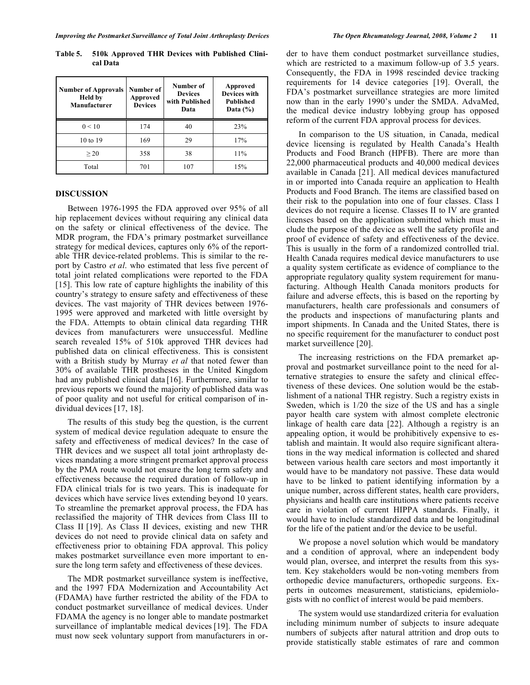**Table 5. 510k Approved THR Devices with Published Clinical Data** 

| <b>Number of Approvals</b><br><b>Held by</b><br>Manufacturer | Number of<br>Approved<br><b>Devices</b> | Number of<br><b>Devices</b><br>with Published<br>Data | Approved<br><b>Devices with</b><br><b>Published</b><br>Data $(\% )$ |
|--------------------------------------------------------------|-----------------------------------------|-------------------------------------------------------|---------------------------------------------------------------------|
| 0 < 10                                                       | 174                                     | 40                                                    | 23%                                                                 |
| 10 to 19                                                     | 169                                     | 29                                                    | 17%                                                                 |
| >20                                                          | 358                                     | 38                                                    | 11%                                                                 |
| Total                                                        | 701                                     | 107                                                   | 15%                                                                 |

#### **DISCUSSION**

 Between 1976-1995 the FDA approved over 95% of all hip replacement devices without requiring any clinical data on the safety or clinical effectiveness of the device. The MDR program, the FDA's primary postmarket surveillance strategy for medical devices, captures only 6% of the reportable THR device-related problems. This is similar to the report by Castro *et al*. who estimated that less five percent of total joint related complications were reported to the FDA [15]. This low rate of capture highlights the inability of this country's strategy to ensure safety and effectiveness of these devices. The vast majority of THR devices between 1976- 1995 were approved and marketed with little oversight by the FDA. Attempts to obtain clinical data regarding THR devices from manufacturers were unsuccessful. Medline search revealed 15% of 510k approved THR devices had published data on clinical effectiveness. This is consistent with a British study by Murray *et al* that noted fewer than 30% of available THR prostheses in the United Kingdom had any published clinical data [16]. Furthermore, similar to previous reports we found the majority of published data was of poor quality and not useful for critical comparison of individual devices [17, 18].

 The results of this study beg the question, is the current system of medical device regulation adequate to ensure the safety and effectiveness of medical devices? In the case of THR devices and we suspect all total joint arthroplasty devices mandating a more stringent premarket approval process by the PMA route would not ensure the long term safety and effectiveness because the required duration of follow-up in FDA clinical trials for is two years. This is inadequate for devices which have service lives extending beyond 10 years. To streamline the premarket approval process, the FDA has reclassified the majority of THR devices from Class III to Class II [19]. As Class II devices, existing and new THR devices do not need to provide clinical data on safety and effectiveness prior to obtaining FDA approval. This policy makes postmarket surveillance even more important to ensure the long term safety and effectiveness of these devices.

 The MDR postmarket surveillance system is ineffective, and the 1997 FDA Modernization and Accountability Act (FDAMA) have further restricted the ability of the FDA to conduct postmarket surveillance of medical devices. Under FDAMA the agency is no longer able to mandate postmarket surveillance of implantable medical devices [19]. The FDA must now seek voluntary support from manufacturers in order to have them conduct postmarket surveillance studies, which are restricted to a maximum follow-up of 3.5 years. Consequently, the FDA in 1998 rescinded device tracking requirements for 14 device categories [19]. Overall, the FDA's postmarket surveillance strategies are more limited now than in the early 1990's under the SMDA. AdvaMed, the medical device industry lobbying group has opposed reform of the current FDA approval process for devices.

 In comparison to the US situation, in Canada, medical device licensing is regulated by Health Canada's Health Products and Food Branch (HPFB). There are more than 22,000 pharmaceutical products and 40,000 medical devices available in Canada [21]. All medical devices manufactured in or imported into Canada require an application to Health Products and Food Branch. The items are classified based on their risk to the population into one of four classes. Class I devices do not require a license. Classes II to IV are granted licenses based on the application submitted which must include the purpose of the device as well the safety profile and proof of evidence of safety and effectiveness of the device. This is usually in the form of a randomized controlled trial. Health Canada requires medical device manufacturers to use a quality system certificate as evidence of compliance to the appropriate regulatory quality system requirement for manufacturing. Although Health Canada monitors products for failure and adverse effects, this is based on the reporting by manufacturers, health care professionals and consumers of the products and inspections of manufacturing plants and import shipments. In Canada and the United States, there is no specific requirement for the manufacturer to conduct post market surveillence [20].

 The increasing restrictions on the FDA premarket approval and postmarket surveillance point to the need for alternative strategies to ensure the safety and clinical effectiveness of these devices. One solution would be the establishment of a national THR registry. Such a registry exists in Sweden, which is 1/20 the size of the US and has a single payor health care system with almost complete electronic linkage of health care data [22]. Although a registry is an appealing option, it would be prohibitively expensive to establish and maintain. It would also require significant alterations in the way medical information is collected and shared between various health care sectors and most importantly it would have to be mandatory not passive. These data would have to be linked to patient identifying information by a unique number, across different states, health care providers, physicians and health care institutions where patients receive care in violation of current HIPPA standards. Finally, it would have to include standardized data and be longitudinal for the life of the patient and/or the device to be useful.

 We propose a novel solution which would be mandatory and a condition of approval, where an independent body would plan, oversee, and interpret the results from this system. Key stakeholders would be non-voting members from orthopedic device manufacturers, orthopedic surgeons. Experts in outcomes measurement, statisticians, epidemiologists with no conflict of interest would be paid members.

 The system would use standardized criteria for evaluation including minimum number of subjects to insure adequate numbers of subjects after natural attrition and drop outs to provide statistically stable estimates of rare and common